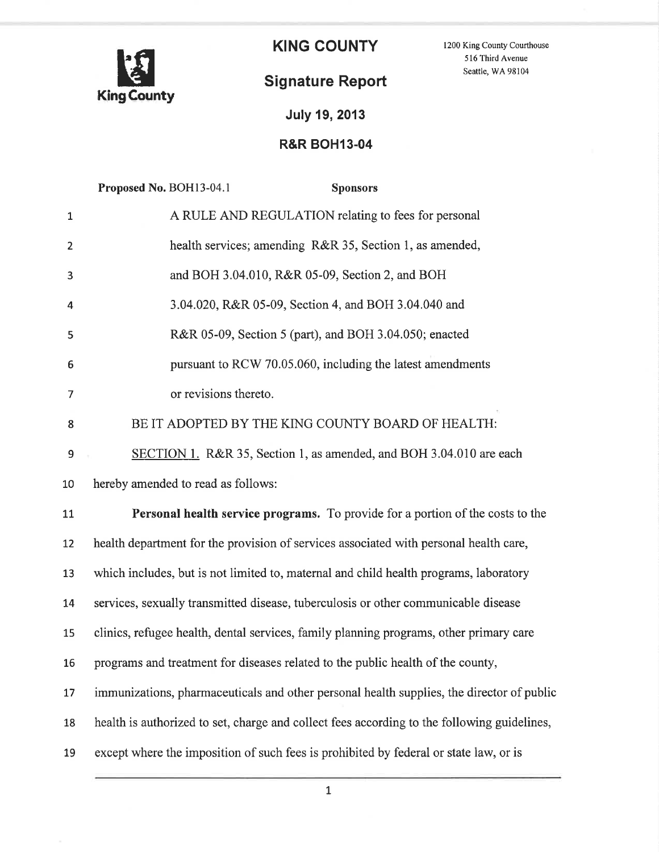

KING COUNTY 1200 King County Courthouse

516 Third Avenue Seattle, WA 98104

## Signature Report

July 19,2013

## R&R BOH13-04

|                  | Proposed No. BOH13-04.1<br><b>Sponsors</b>                                                  |
|------------------|---------------------------------------------------------------------------------------------|
| $\mathbf{1}$     | A RULE AND REGULATION relating to fees for personal                                         |
| $\overline{2}$   | health services; amending R&R 35, Section 1, as amended,                                    |
| 3                | and BOH 3.04.010, R&R 05-09, Section 2, and BOH                                             |
| 4                | 3.04.020, R&R 05-09, Section 4, and BOH 3.04.040 and                                        |
| 5                | R&R 05-09, Section 5 (part), and BOH 3.04.050; enacted                                      |
| 6                | pursuant to RCW 70.05.060, including the latest amendments                                  |
| 7                | or revisions thereto.                                                                       |
| 8                | BE IT ADOPTED BY THE KING COUNTY BOARD OF HEALTH:                                           |
| $\boldsymbol{9}$ | SECTION 1. R&R 35, Section 1, as amended, and BOH 3.04.010 are each                         |
| 10               | hereby amended to read as follows:                                                          |
| 11               | <b>Personal health service programs.</b> To provide for a portion of the costs to the       |
| 12               | health department for the provision of services associated with personal health care,       |
| 13               | which includes, but is not limited to, maternal and child health programs, laboratory       |
| 14               | services, sexually transmitted disease, tuberculosis or other communicable disease          |
| 15               | clinics, refugee health, dental services, family planning programs, other primary care      |
| 16               | programs and treatment for diseases related to the public health of the county,             |
| 17               | immunizations, pharmaceuticals and other personal health supplies, the director of public   |
| 18               | health is authorized to set, charge and collect fees according to the following guidelines, |
| 19               | except where the imposition of such fees is prohibited by federal or state law, or is       |
|                  |                                                                                             |

t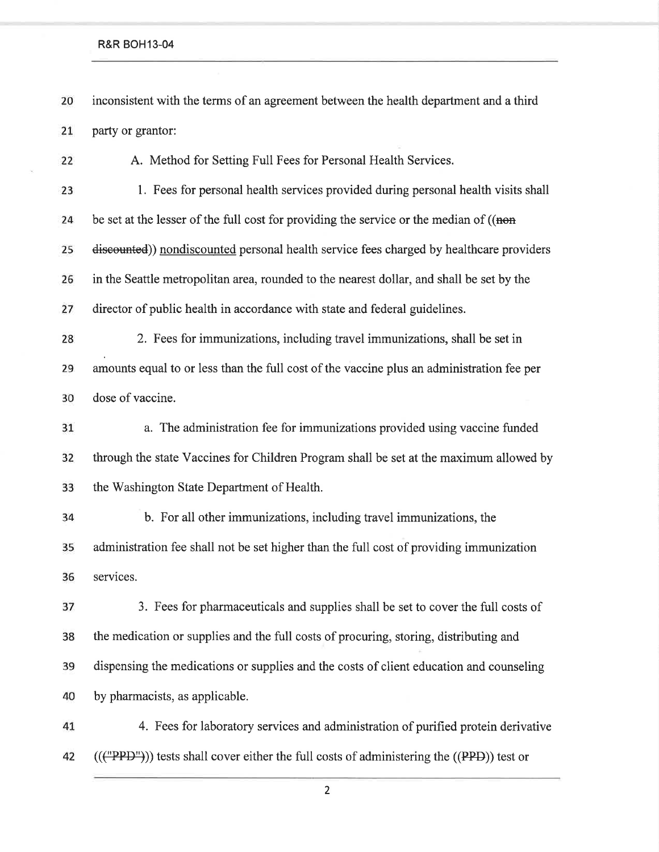## R&R BOH13-04

20 inconsistent with the terms of an agreement between the health department and a third 21 party or grantor:

A. Method for Setting Full Fees for Personal Health Services. 22

23 1. Fees for personal health services provided during personal health visits shall 24 be set at the lesser of the full cost for providing the service or the median of ((non 25 discounted)) nondiscounted personal health service fees charged by healthcare providers in the Seattle metropolitan area, rounded to the nearest dollar, and shall be set by the 26 27 director of public health in accordance with state and federal guidelines.

28 2. Fees for immunizations, including travel immunizations, shall be set in amounts equal to or less than the full cost of the vaccine plus an administration fee per 29 dose of vaccine. 30

31 a. The administration fee for immunizations provided using vaccine funded 32 through the state Vaccines for Children Program shall be set at the maximum allowed by 33 the Washington State Department of Health.

b. For all other immunizations, including travel immunizations, the 34 administration fee shall not be set higher than the full cost of providing immunization 35 services. 36

37 3. Fees for pharmaceuticals and supplies shall be set to cover the full costs of the medication or supplies and the full costs of procuring, storing, distributing and 38 39 dispensing the medications or supplies and the costs of client education and counseling by pharmacists, as applicable. 40

41 4. Fees for laboratory services and administration of purified protein derivative 42  $((\langle "PPD")$ ) tests shall cover either the full costs of administering the  $((PPD))$  test or

2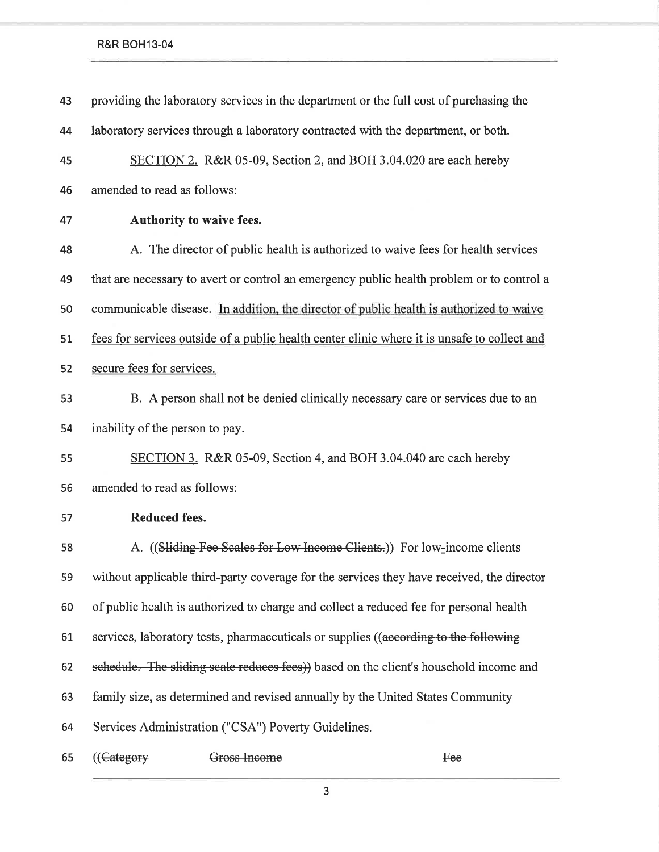## R&R BOH13-04

| 65 | ((Category)                                         | Gross Income                                                                                 | Fee |
|----|-----------------------------------------------------|----------------------------------------------------------------------------------------------|-----|
| 64 | Services Administration ("CSA") Poverty Guidelines. |                                                                                              |     |
| 63 |                                                     | family size, as determined and revised annually by the United States Community               |     |
| 62 |                                                     | sehedule. The sliding scale reduces fees) based on the client's household income and         |     |
| 61 |                                                     | services, laboratory tests, pharmaceuticals or supplies ((according to the following         |     |
| 60 |                                                     | of public health is authorized to charge and collect a reduced fee for personal health       |     |
| 59 |                                                     | without applicable third-party coverage for the services they have received, the director    |     |
| 58 |                                                     | A. ((Sliding Fee Seales for Low Income Clients.)) For low-income clients                     |     |
| 57 | Reduced fees.                                       |                                                                                              |     |
| 56 | amended to read as follows:                         |                                                                                              |     |
| 55 |                                                     | SECTION 3. R&R 05-09, Section 4, and BOH 3.04.040 are each hereby                            |     |
| 54 | inability of the person to pay.                     |                                                                                              |     |
| 53 |                                                     | B. A person shall not be denied clinically necessary care or services due to an              |     |
| 52 | secure fees for services.                           |                                                                                              |     |
| 51 |                                                     | fees for services outside of a public health center clinic where it is unsafe to collect and |     |
| 50 |                                                     | communicable disease. In addition, the director of public health is authorized to waive      |     |
| 49 |                                                     | that are necessary to avert or control an emergency public health problem or to control a    |     |
| 48 |                                                     | A. The director of public health is authorized to waive fees for health services             |     |
| 47 | Authority to waive fees.                            |                                                                                              |     |
| 46 | amended to read as follows:                         |                                                                                              |     |
| 45 |                                                     | SECTION 2. R&R 05-09, Section 2, and BOH 3.04.020 are each hereby                            |     |
| 44 |                                                     | laboratory services through a laboratory contracted with the department, or both.            |     |
| 43 |                                                     | providing the laboratory services in the department or the full cost of purchasing the       |     |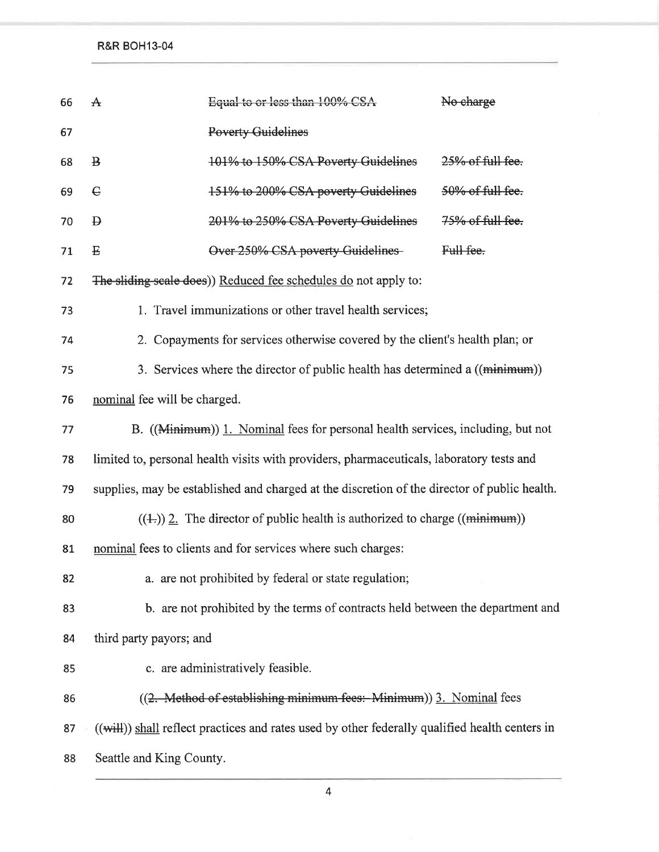**R&R BOH13-04** 

| 66 | $\mathbf A$                                                                                  | Equal to or less than 100% CSA                                                                   | No charge        |  |  |  |
|----|----------------------------------------------------------------------------------------------|--------------------------------------------------------------------------------------------------|------------------|--|--|--|
| 67 |                                                                                              | <b>Poverty Guidelines</b>                                                                        |                  |  |  |  |
| 68 | $\bf{B}$                                                                                     | 101% to 150% CSA Poverty Guidelines                                                              | 25% of full fee. |  |  |  |
| 69 | $\epsilon$                                                                                   | 151% to 200% CSA poverty Guidelines                                                              | 50% of full fee. |  |  |  |
| 70 | $\mathbf{p}$                                                                                 | 201% to 250% CSA Poverty Guidelines                                                              | 75% of full fee. |  |  |  |
| 71 | $\mathbf E$                                                                                  | Over 250% CSA poverty Guidelines                                                                 | Full fee.        |  |  |  |
| 72 | The sliding scale does)) Reduced fee schedules do not apply to:                              |                                                                                                  |                  |  |  |  |
| 73 | 1. Travel immunizations or other travel health services;                                     |                                                                                                  |                  |  |  |  |
| 74 | 2. Copayments for services otherwise covered by the client's health plan; or                 |                                                                                                  |                  |  |  |  |
| 75 | 3. Services where the director of public health has determined a ((minimum))                 |                                                                                                  |                  |  |  |  |
| 76 | nominal fee will be charged.                                                                 |                                                                                                  |                  |  |  |  |
| 77 | B. ((Minimum)) 1. Nominal fees for personal health services, including, but not              |                                                                                                  |                  |  |  |  |
| 78 | limited to, personal health visits with providers, pharmaceuticals, laboratory tests and     |                                                                                                  |                  |  |  |  |
| 79 | supplies, may be established and charged at the discretion of the director of public health. |                                                                                                  |                  |  |  |  |
| 80 | $((+))$ 2. The director of public health is authorized to charge ((minimum))                 |                                                                                                  |                  |  |  |  |
| 81 | nominal fees to clients and for services where such charges:                                 |                                                                                                  |                  |  |  |  |
| 82 |                                                                                              | a. are not prohibited by federal or state regulation;                                            |                  |  |  |  |
| 83 |                                                                                              | b. are not prohibited by the terms of contracts held between the department and                  |                  |  |  |  |
| 84 | third party payors; and                                                                      |                                                                                                  |                  |  |  |  |
| 85 |                                                                                              | c. are administratively feasible.                                                                |                  |  |  |  |
| 86 |                                                                                              | ((2. Method of establishing minimum fees: Minimum)) 3. Nominal fees                              |                  |  |  |  |
| 87 |                                                                                              | $((with))$ shall reflect practices and rates used by other federally qualified health centers in |                  |  |  |  |
| 88 | Seattle and King County.                                                                     |                                                                                                  |                  |  |  |  |

 $\overline{4}$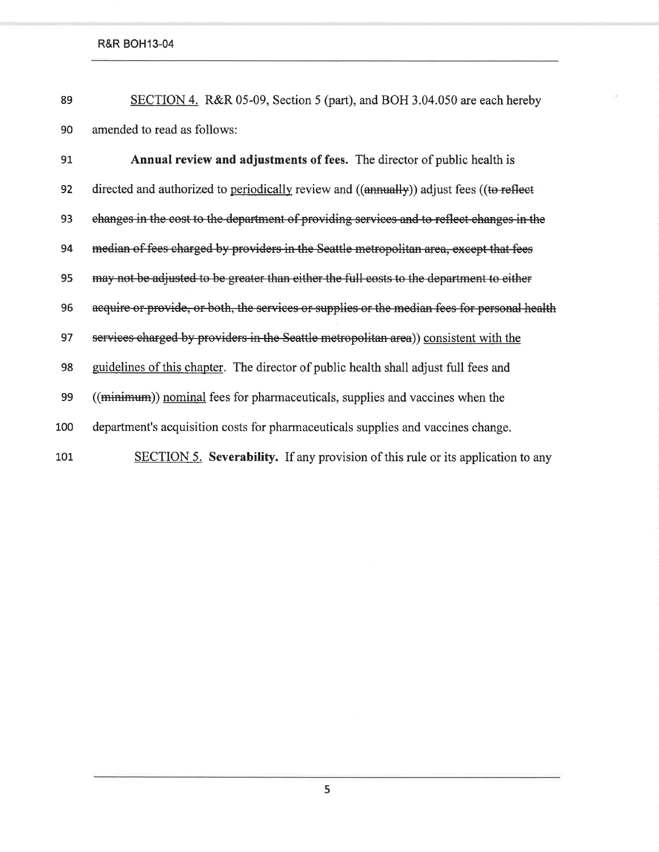89 SECTION 4. R&R 05-09, Section 5 (part), and BOH 3.04.050 are each hereby 90 amended to read as follows:

91 Annual review and adjustments of fees. The director of public health is 92 directed and authorized to periodically review and ((annually)) adjust fees ((to reflect 93 changes in the cost to the department of providing services and to reflect changes in the 94 median of fees charged by providers in the Seattle metropolitan area, except that fees 95 may not be adjusted to be greater than either the full costs to the department to either 96 acquire or provide, or both, the services or supplies or the median fees for personal health 97 services charged by providers in the Seattle metropolitan area)) consistent with the 98 guidelines of this chapter. The director of public health shall adjust full fees and 99 (minimum)) nominal fees for pharmaceuticals, supplies and vaccines when the 100 department's acquisition costs for pharmaceuticals supplies and vaccines change. 101 SECTION 5. Severability. If any provision of this rule or its application to any

5